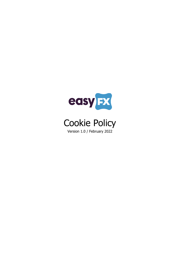

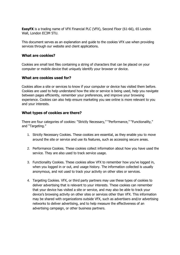**EasyFX** is a trading name of VFX Financial PLC (VFX), Second Floor (61-66), 65 London Wall, London EC3M 5TU.

This document serves as an explanation and guide to the cookies VFX use when providing services through our website and client applications.

# **What are cookies?**

Cookies are small text files containing a string of characters that can be placed on your computer or mobile device that uniquely identify your browser or device.

### **What are cookies used for?**

Cookies allow a site or services to know if your computer or device has visited them before. Cookies are used to help understand how the site or service is being used, help you navigate between pages efficiently, remember your preferences, and improve your browsing experience. Cookies can also help ensure marketing you see online is more relevant to you and your interests.

### **What types of cookies are there?**

There are four categories of cookies: "Strictly Necessary," "Performance," "Functionality," and "Targeting."

- 1. Strictly Necessary Cookies. These cookies are essential, as they enable you to move around the site or service and use its features, such as accessing secure areas.
- 2. Performance Cookies. These cookies collect information about how you have used the service. They are also used to track service usage.
- 3. Functionality Cookies. These cookies allow VFX to remember how you've logged in, when you logged in or out, and usage history. The information collected is usually anonymous, and not used to track your activity on other sites or services.
- 4. Targeting Cookies. VFX, or third party partners may use these types of cookies to deliver advertising that is relevant to your interests. These cookies can remember that your device has visited a site or service, and may also be able to track your device's browsing activity on other sites or services other than VFX. This information may be shared with organizations outside VFX, such as advertisers and/or advertising networks to deliver advertising, and to help measure the effectiveness of an advertising campaign, or other business partners.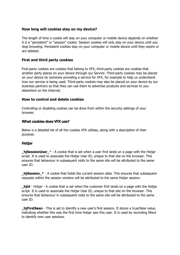# **How long will cookies stay on my device?**

The length of time a cookie will stay on your computer or mobile device depends on whether it is a "persistent" or "session" cookie. Session cookies will only stay on your device until you stop browsing. Persistent cookies stay on your computer or mobile device until they expire or are deleted.

# **First and third party cookies**

First-party cookies are cookies that belong to VFX, third-party cookies are cookies that another party places on your device through our Service. Third-party cookies may be placed on your device by someone providing a service for VFX, for example to help us understand how our service is being used. Third-party cookies may also be placed on your device by our business partners so that they can use them to advertise products and services to you elsewhere on the Internet.

### **How to control and delete cookies**

Controlling or disabling cookies can be done from within the security settings of your browser.

#### **What cookies does VFX use?**

Below is a detailed list of all the cookies VFX utilises, along with a description of their purpose.

### **Hotjar**

**hiSessionUser**  $*$  - A cookie that is set when a user first lands on a page with the Hotjar script. It is used to associate the Hotjar User ID, unique to that site on the browser. This ensures that behaviour in subsequent visits to the same site will be attributed to the same user ID.

**\_hjSession\_\*** - A cookie that holds the current session data. This ensures that subsequent requests within the session window will be attributed to the same Hotjar session.

**\_hjid** - Hotjar - A cookie that is set when the customer first lands on a page with the Hotjar script. It is used to associate the Hotjar User ID, unique to that site on the browser. This ensures that behaviour in subsequent visits to the same site will be attributed to the same user ID.

**\_hjFirstSeen** - This is set to identify a new user's first session. It stores a true/false value, indicating whether this was the first time Hotjar saw this user. It is used by recording filters to identify new user sessions.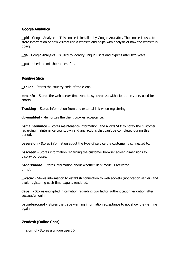# **Google Analytics**

**\_gid** - Google Analytics - This cookie is installed by Google Analytics. The cookie is used to store information of how visitors use a website and helps with analysis of how the website is doing.

**\_ga** - Google Analytics - is used to identify unique users and expires after two years.

**\_gat** - Used to limit the request fee.

### **Positive Slice**

**\_znLoc** - Stores the country code of the client.

**pstzinfo** – Stores the web server time zone to synchronize with client time zone, used for charts.

**Tracking** – Stores information from any external link when registering.

**cb-enabled** - Memorizes the client cookies acceptance.

**psmaintenance** – Stores maintenance information, and allows VFX to notify the customer regarding maintenance countdown and any actions that can't be completed during this period.

**psversion** - Stores information about the type of service the customer is connected to.

**psscreen -** Stores information regarding the customer browser screen dimensions for display purposes.

**psdarkmode -** Stores information about whether dark mode is activated or not.

**\_wscac** - Stores information to establish connection to web sockets (notification server) and avoid registering each time page is rendered.

**daps** - Stores encrypted information regarding two factor authentication validation after successful login.

**pstradeaccept** - Stores the trade warning information acceptance to not show the warning again.

# **Zendesk (Online Chat)**

**\_\_zlcmid** - Stores a unique user ID.